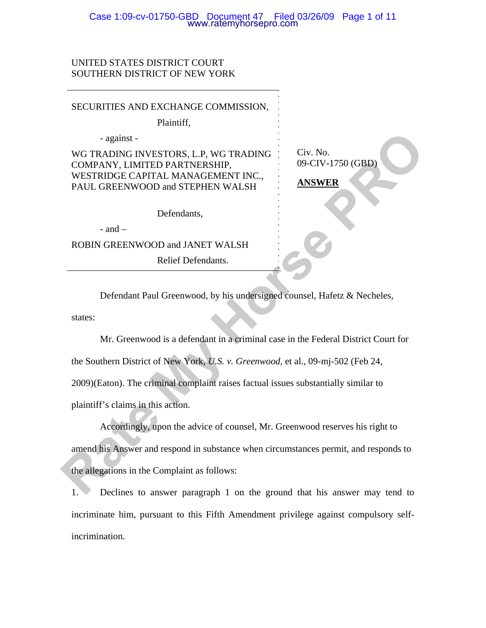## Case 1:09-cv-01750-GBD Document 47 Filed 03/26/09 Page 1 of 11 www.ratemyhorsepro.com

# UNITED STATES DISTRICT COURT SOUTHERN DISTRICT OF NEW YORK

| SECURITIES AND EXCHANGE COMMISSION,                                                                          |                               |
|--------------------------------------------------------------------------------------------------------------|-------------------------------|
| Plaintiff,                                                                                                   |                               |
| - against -                                                                                                  |                               |
| WG TRADING INVESTORS, L.P, WG TRADING<br>COMPANY, LIMITED PARTNERSHIP,<br>WESTRIDGE CAPITAL MANAGEMENT INC., | Civ. No.<br>09-CIV-1750 (GBD) |
| PAUL GREENWOOD and STEPHEN WALSH                                                                             | <b>ANSWER</b>                 |
| Defendants,                                                                                                  |                               |
| - and $-$                                                                                                    |                               |
| ROBIN GREENWOOD and JANET WALSH                                                                              |                               |
| Relief Defendants.                                                                                           |                               |
|                                                                                                              |                               |
| Defendant Paul Greenwood, by his undersigned counsel, Hafetz & Necheles,                                     |                               |
| states:                                                                                                      |                               |
| Mr. Greenwood is a defendant in a criminal case in the Federal District Court for                            |                               |
| the Southern District of New York, U.S. v. Greenwood, et al., 09-mj-502 (Feb 24,                             |                               |
| 2009)(Eaton). The criminal complaint raises factual issues substantially similar to                          |                               |
| plaintiff's claims in this action.                                                                           |                               |
| Accordingly, upon the advice of counsel, Mr. Greenwood reserves his right to                                 |                               |
| amend his Answer and respond in substance when circumstances permit, and responds to                         |                               |
| the allegations in the Complaint as follows:                                                                 |                               |
| Declines to answer paragraph 1 on the ground that his answer may tend to                                     |                               |

1. Declines to answer paragraph 1 on the ground that his answer may tend to incriminate him, pursuant to this Fifth Amendment privilege against compulsory selfincrimination.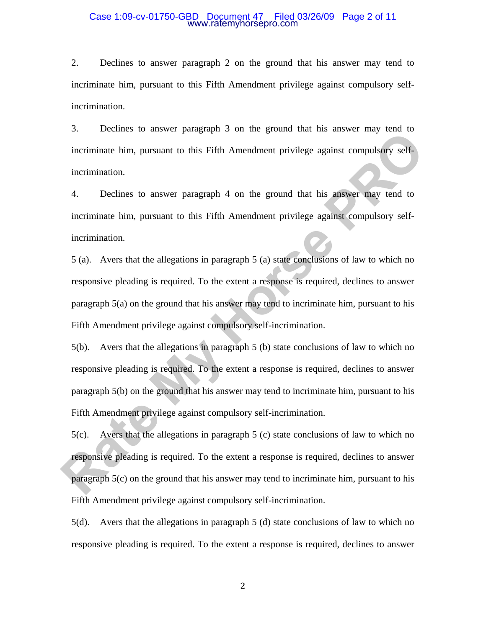### Case 1:09-cv-01750-GBD Document 47 Filed 03/26/09 Page 2 of 11 www.ratemyhorsepro.com

2. Declines to answer paragraph 2 on the ground that his answer may tend to incriminate him, pursuant to this Fifth Amendment privilege against compulsory selfincrimination.

3. Declines to answer paragraph 3 on the ground that his answer may tend to incriminate him, pursuant to this Fifth Amendment privilege against compulsory selfincrimination.

4. Declines to answer paragraph 4 on the ground that his answer may tend to incriminate him, pursuant to this Fifth Amendment privilege against compulsory selfincrimination.

5 (a). Avers that the allegations in paragraph 5 (a) state conclusions of law to which no responsive pleading is required. To the extent a response is required, declines to answer paragraph 5(a) on the ground that his answer may tend to incriminate him, pursuant to his Fifth Amendment privilege against compulsory self-incrimination. **Example 19** on the ground that his answer may tend to incriminate him, pursuant to this Fifth Amendment privilege against compulsory self-<br>incrimination.<br>**A.** Declines to answer paragraph 4 on the ground that his answer m

5(b). Avers that the allegations in paragraph 5 (b) state conclusions of law to which no responsive pleading is required. To the extent a response is required, declines to answer paragraph 5(b) on the ground that his answer may tend to incriminate him, pursuant to his Fifth Amendment privilege against compulsory self-incrimination.

5(c). Avers that the allegations in paragraph 5 (c) state conclusions of law to which no responsive pleading is required. To the extent a response is required, declines to answer paragraph 5(c) on the ground that his answer may tend to incriminate him, pursuant to his Fifth Amendment privilege against compulsory self-incrimination.

5(d). Avers that the allegations in paragraph 5 (d) state conclusions of law to which no responsive pleading is required. To the extent a response is required, declines to answer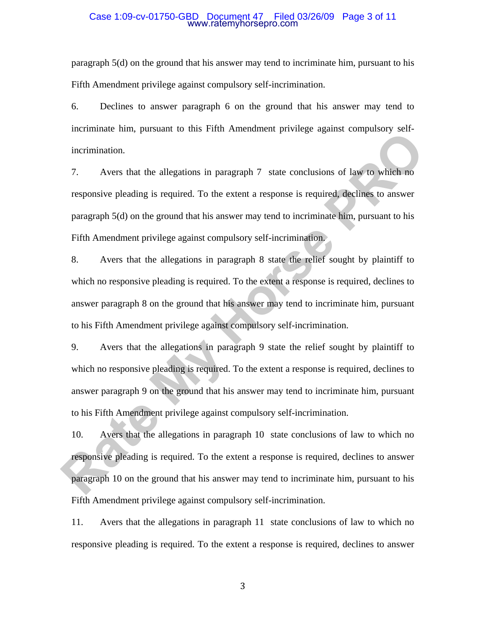### Case 1:09-cv-01750-GBD Document 47 Filed 03/26/09 Page 3 of 11 www.ratemyhorsepro.com

paragraph 5(d) on the ground that his answer may tend to incriminate him, pursuant to his Fifth Amendment privilege against compulsory self-incrimination.

6. Declines to answer paragraph 6 on the ground that his answer may tend to incriminate him, pursuant to this Fifth Amendment privilege against compulsory selfincrimination.

7. Avers that the allegations in paragraph 7 state conclusions of law to which no responsive pleading is required. To the extent a response is required, declines to answer paragraph 5(d) on the ground that his answer may tend to incriminate him, pursuant to his Fifth Amendment privilege against compulsory self-incrimination.

8. Avers that the allegations in paragraph 8 state the relief sought by plaintiff to which no responsive pleading is required. To the extent a response is required, declines to answer paragraph 8 on the ground that his answer may tend to incriminate him, pursuant to his Fifth Amendment privilege against compulsory self-incrimination. The minimization.<br>
The set into the state of the state into the state of the state of the state interesting of the state of the<br>
Responsive pleading is required. To the extent a response is required declines to answer<br>
par

9. Avers that the allegations in paragraph 9 state the relief sought by plaintiff to which no responsive pleading is required. To the extent a response is required, declines to answer paragraph 9 on the ground that his answer may tend to incriminate him, pursuant to his Fifth Amendment privilege against compulsory self-incrimination.

10. Avers that the allegations in paragraph 10 state conclusions of law to which no responsive pleading is required. To the extent a response is required, declines to answer paragraph 10 on the ground that his answer may tend to incriminate him, pursuant to his Fifth Amendment privilege against compulsory self-incrimination.

11. Avers that the allegations in paragraph 11 state conclusions of law to which no responsive pleading is required. To the extent a response is required, declines to answer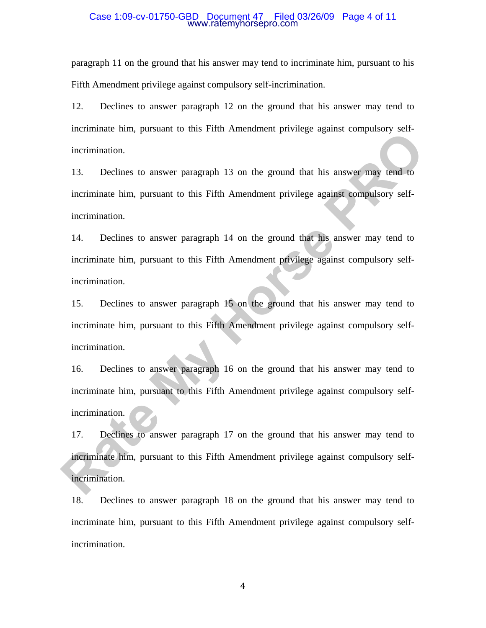### Case 1:09-cv-01750-GBD Document 47 Filed 03/26/09 Page 4 of 11 www.ratemyhorsepro.com

paragraph 11 on the ground that his answer may tend to incriminate him, pursuant to his Fifth Amendment privilege against compulsory self-incrimination.

12. Declines to answer paragraph 12 on the ground that his answer may tend to incriminate him, pursuant to this Fifth Amendment privilege against compulsory selfincrimination.

13. Declines to answer paragraph 13 on the ground that his answer may tend to incriminate him, pursuant to this Fifth Amendment privilege against compulsory selfincrimination.

14. Declines to answer paragraph 14 on the ground that his answer may tend to incriminate him, pursuant to this Fifth Amendment privilege against compulsory selfincrimination. External and the system of this Fifth Amendment privilege against computery set<br>incrimination.<br> **Rate Internal and the Secure of the Secure of the Secure Weiler Schemar and the intermination.**<br> **Rate Internal and the Secur** 

15. Declines to answer paragraph 15 on the ground that his answer may tend to incriminate him, pursuant to this Fifth Amendment privilege against compulsory selfincrimination.

16. Declines to answer paragraph 16 on the ground that his answer may tend to incriminate him, pursuant to this Fifth Amendment privilege against compulsory selfincrimination.

17. Declines to answer paragraph 17 on the ground that his answer may tend to incriminate him, pursuant to this Fifth Amendment privilege against compulsory selfincrimination.

18. Declines to answer paragraph 18 on the ground that his answer may tend to incriminate him, pursuant to this Fifth Amendment privilege against compulsory selfincrimination.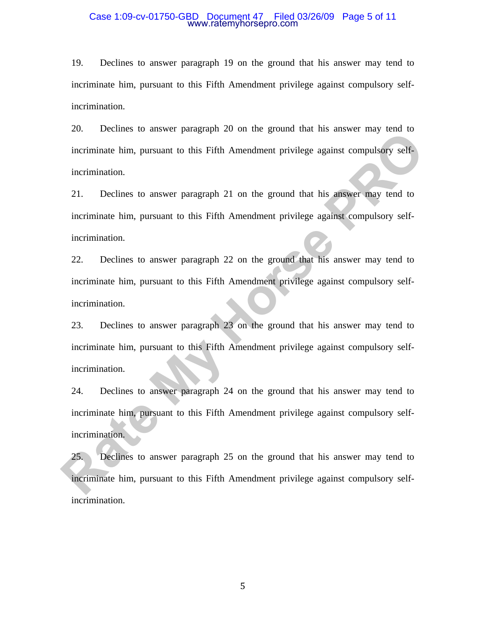### Case 1:09-cv-01750-GBD Document 47 Filed 03/26/09 Page 5 of 11 www.ratemyhorsepro.com

19. Declines to answer paragraph 19 on the ground that his answer may tend to incriminate him, pursuant to this Fifth Amendment privilege against compulsory selfincrimination.

20. Declines to answer paragraph 20 on the ground that his answer may tend to incriminate him, pursuant to this Fifth Amendment privilege against compulsory selfincrimination.

21. Declines to answer paragraph 21 on the ground that his answer may tend to incriminate him, pursuant to this Fifth Amendment privilege against compulsory selfincrimination.

22. Declines to answer paragraph 22 on the ground that his answer may tend to incriminate him, pursuant to this Fifth Amendment privilege against compulsory selfincrimination.

23. Declines to answer paragraph 23 on the ground that his answer may tend to incriminate him, pursuant to this Fifth Amendment privilege against compulsory selfincrimination. Extends to dustrict pauguaph 20 on the ground dust has dusted hang concrete<br>incrimination.<br>
Reclines to answer paragraph 21 on the ground that his abswer may tend to<br>
incrimination.<br>
21. Declines to answer paragraph 21 on

24. Declines to answer paragraph 24 on the ground that his answer may tend to incriminate him, pursuant to this Fifth Amendment privilege against compulsory selfincrimination.

25. Declines to answer paragraph 25 on the ground that his answer may tend to incriminate him, pursuant to this Fifth Amendment privilege against compulsory selfincrimination.

 $\sim$  5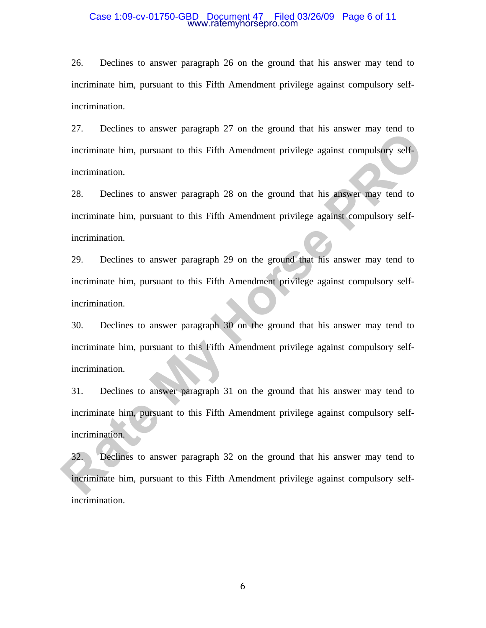### Case 1:09-cv-01750-GBD Document 47 Filed 03/26/09 Page 6 of 11 www.ratemyhorsepro.com

26. Declines to answer paragraph 26 on the ground that his answer may tend to incriminate him, pursuant to this Fifth Amendment privilege against compulsory selfincrimination.

27. Declines to answer paragraph 27 on the ground that his answer may tend to incriminate him, pursuant to this Fifth Amendment privilege against compulsory selfincrimination.

28. Declines to answer paragraph 28 on the ground that his answer may tend to incriminate him, pursuant to this Fifth Amendment privilege against compulsory selfincrimination.

29. Declines to answer paragraph 29 on the ground that his answer may tend to incriminate him, pursuant to this Fifth Amendment privilege against compulsory selfincrimination.

30. Declines to answer paragraph 30 on the ground that his answer may tend to incriminate him, pursuant to this Fifth Amendment privilege against compulsory selfincrimination. Extended to dustrict pauguaph 27 on the ground dust has dustrict hang vote to<br>incriminate him, pursuant to this Fifth Amendment privilege against compulsory self-<br>incrimination.<br>28. Declines to answer paragraph 28 on the g

31. Declines to answer paragraph 31 on the ground that his answer may tend to incriminate him, pursuant to this Fifth Amendment privilege against compulsory selfincrimination.

32. Declines to answer paragraph 32 on the ground that his answer may tend to incriminate him, pursuant to this Fifth Amendment privilege against compulsory selfincrimination.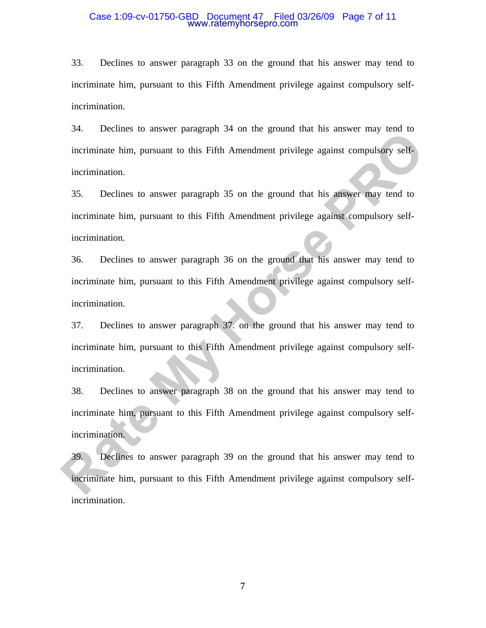### Case 1:09-cv-01750-GBD Document 47 Filed 03/26/09 Page 7 of 11 www.ratemyhorsepro.com

33. Declines to answer paragraph 33 on the ground that his answer may tend to incriminate him, pursuant to this Fifth Amendment privilege against compulsory selfincrimination.

34. Declines to answer paragraph 34 on the ground that his answer may tend to incriminate him, pursuant to this Fifth Amendment privilege against compulsory selfincrimination.

35. Declines to answer paragraph 35 on the ground that his answer may tend to incriminate him, pursuant to this Fifth Amendment privilege against compulsory selfincrimination.

36. Declines to answer paragraph 36 on the ground that his answer may tend to incriminate him, pursuant to this Fifth Amendment privilege against compulsory selfincrimination.

37. Declines to answer paragraph 37. on the ground that his answer may tend to incriminate him, pursuant to this Fifth Amendment privilege against compulsory selfincrimination. **Example 8** to this relative to this Fifth Amendment privilege against compulsory self-<br>
incrimination.<br> **Rate My Localistic My Horse Property Self-**<br>
incrimination.<br> **Rate My Localistic My Horse Property Avenues to answer** 

38. Declines to answer paragraph 38 on the ground that his answer may tend to incriminate him, pursuant to this Fifth Amendment privilege against compulsory selfincrimination.

39. Declines to answer paragraph 39 on the ground that his answer may tend to incriminate him, pursuant to this Fifth Amendment privilege against compulsory selfincrimination.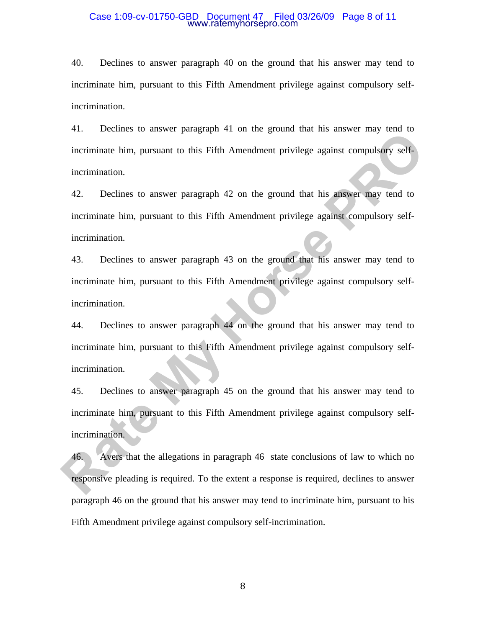### Case 1:09-cv-01750-GBD Document 47 Filed 03/26/09 Page 8 of 11 www.ratemyhorsepro.com

40. Declines to answer paragraph 40 on the ground that his answer may tend to incriminate him, pursuant to this Fifth Amendment privilege against compulsory selfincrimination.

41. Declines to answer paragraph 41 on the ground that his answer may tend to incriminate him, pursuant to this Fifth Amendment privilege against compulsory selfincrimination.

42. Declines to answer paragraph 42 on the ground that his answer may tend to incriminate him, pursuant to this Fifth Amendment privilege against compulsory selfincrimination.

43. Declines to answer paragraph 43 on the ground that his answer may tend to incriminate him, pursuant to this Fifth Amendment privilege against compulsory selfincrimination.

44. Declines to answer paragraph 44 on the ground that his answer may tend to incriminate him, pursuant to this Fifth Amendment privilege against compulsory selfincrimination. Fr. Extense to taisted patagraph 47 on the ground that his answer any tone of<br>incrimination.<br>
A2. Declines to answer paragraph 42 on the ground that his answer may tend to<br>
incrimination.<br>
A2. Declines to answer paragraph

45. Declines to answer paragraph 45 on the ground that his answer may tend to incriminate him, pursuant to this Fifth Amendment privilege against compulsory selfincrimination.

46. Avers that the allegations in paragraph 46 state conclusions of law to which no responsive pleading is required. To the extent a response is required, declines to answer paragraph 46 on the ground that his answer may tend to incriminate him, pursuant to his Fifth Amendment privilege against compulsory self-incrimination.

8 and 20 and 20 and 20 and 20 and 20 and 20 and 20 and 20 and 20 and 20 and 20 and 20 and 20 and 20 and 20 and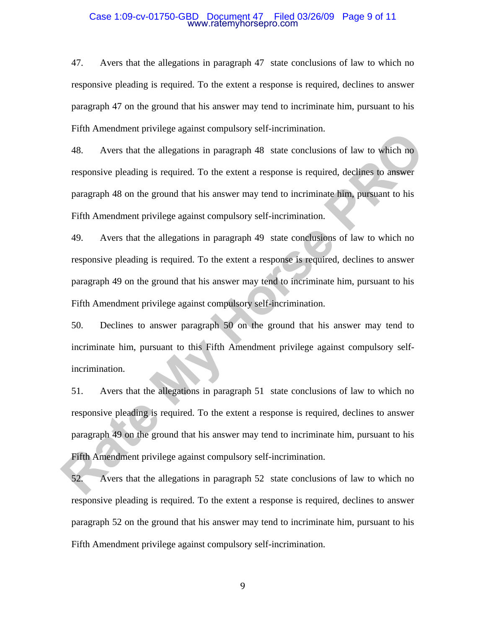### Case 1:09-cv-01750-GBD Document 47 Filed 03/26/09 Page 9 of 11 www.ratemyhorsepro.com

47. Avers that the allegations in paragraph 47 state conclusions of law to which no responsive pleading is required. To the extent a response is required, declines to answer paragraph 47 on the ground that his answer may tend to incriminate him, pursuant to his Fifth Amendment privilege against compulsory self-incrimination.

48. Avers that the allegations in paragraph 48 state conclusions of law to which no responsive pleading is required. To the extent a response is required, declines to answer paragraph 48 on the ground that his answer may tend to incriminate him, pursuant to his Fifth Amendment privilege against compulsory self-incrimination. Thur Information principle ugainst composity son internations.<br> **Rate Assumpt AS** Avers that the allegations in paragraph 48 state conclusions of law to which no<br>
responsive pleading is required. To the extent a response i

49. Avers that the allegations in paragraph 49 state conclusions of law to which no responsive pleading is required. To the extent a response is required, declines to answer paragraph 49 on the ground that his answer may tend to incriminate him, pursuant to his Fifth Amendment privilege against compulsory self-incrimination.

50. Declines to answer paragraph 50 on the ground that his answer may tend to incriminate him, pursuant to this Fifth Amendment privilege against compulsory selfincrimination.

51. Avers that the allegations in paragraph 51 state conclusions of law to which no responsive pleading is required. To the extent a response is required, declines to answer paragraph 49 on the ground that his answer may tend to incriminate him, pursuant to his Fifth Amendment privilege against compulsory self-incrimination.

52. Avers that the allegations in paragraph 52 state conclusions of law to which no responsive pleading is required. To the extent a response is required, declines to answer paragraph 52 on the ground that his answer may tend to incriminate him, pursuant to his Fifth Amendment privilege against compulsory self-incrimination.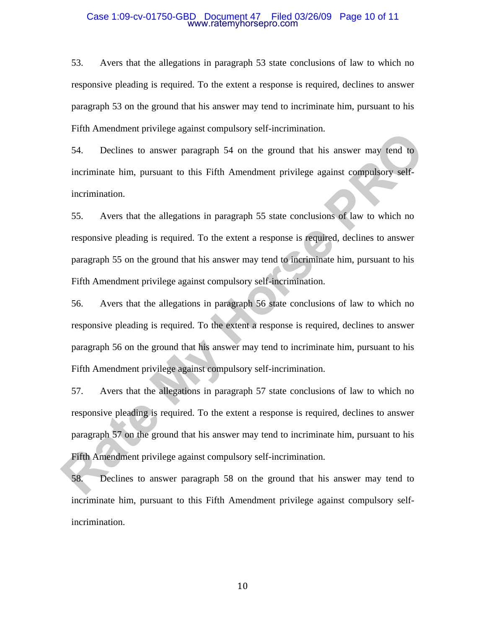### Case 1:09-cv-01750-GBD Document 47 Filed 03/26/09 Page 10 of 11 www.ratemyhorsepro.com

53. Avers that the allegations in paragraph 53 state conclusions of law to which no responsive pleading is required. To the extent a response is required, declines to answer paragraph 53 on the ground that his answer may tend to incriminate him, pursuant to his Fifth Amendment privilege against compulsory self-incrimination.

54. Declines to answer paragraph 54 on the ground that his answer may tend to incriminate him, pursuant to this Fifth Amendment privilege against compulsory selfincrimination.

55. Avers that the allegations in paragraph 55 state conclusions of law to which no responsive pleading is required. To the extent a response is required, declines to answer paragraph 55 on the ground that his answer may tend to incriminate him, pursuant to his Fifth Amendment privilege against compulsory self-incrimination.

56. Avers that the allegations in paragraph 56 state conclusions of law to which no responsive pleading is required. To the extent a response is required, declines to answer paragraph 56 on the ground that his answer may tend to incriminate him, pursuant to his Fifth Amendment privilege against compulsory self-incrimination. Final Entoncomonal performation composed y soft mechanism.<br> **Fact Theorem Society of the Society of the Society of the Society of the Society of the Society of the Society of the Conduct Society of the allegations in parag** 

57. Avers that the allegations in paragraph 57 state conclusions of law to which no responsive pleading is required. To the extent a response is required, declines to answer paragraph 57 on the ground that his answer may tend to incriminate him, pursuant to his Fifth Amendment privilege against compulsory self-incrimination.

58. Declines to answer paragraph 58 on the ground that his answer may tend to incriminate him, pursuant to this Fifth Amendment privilege against compulsory selfincrimination.